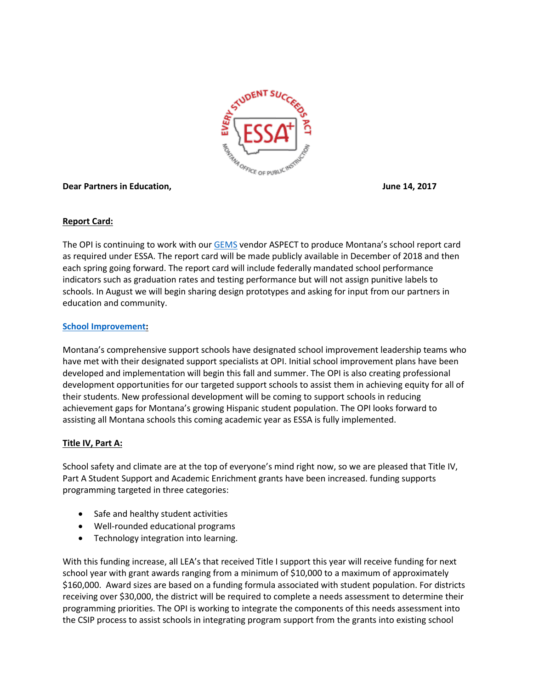

### **Report Card:**

The OPI is continuing to work with our [GEMS](http://gems.opi.mt.gov/Pages/HomePage.aspx) vendor ASPECT to produce Montana's school report card as required under ESSA. The report card will be made publicly available in December of 2018 and then each spring going forward. The report card will include federally mandated school performance indicators such as graduation rates and testing performance but will not assign punitive labels to schools. In August we will begin sharing design prototypes and asking for input from our partners in education and community.

### **[School Improvement:](http://gems.opi.mt.gov/SchoolAndDistrictInfo/Pages/Overview.aspx)**

Montana's comprehensive support schools have designated school improvement leadership teams who have met with their designated support specialists at OPI. Initial school improvement plans have been developed and implementation will begin this fall and summer. The OPI is also creating professional development opportunities for our targeted support schools to assist them in achieving equity for all of their students. New professional development will be coming to support schools in reducing achievement gaps for Montana's growing Hispanic student population. The OPI looks forward to assisting all Montana schools this coming academic year as ESSA is fully implemented.

## **Title IV, Part A:**

School safety and climate are at the top of everyone's mind right now, so we are pleased that Title IV, Part A Student Support and Academic Enrichment grants have been increased. funding supports programming targeted in three categories:

- Safe and healthy student activities
- Well-rounded educational programs
- Technology integration into learning.

With this funding increase, all LEA's that received Title I support this year will receive funding for next school year with grant awards ranging from a minimum of \$10,000 to a maximum of approximately \$160,000. Award sizes are based on a funding formula associated with student population. For districts receiving over \$30,000, the district will be required to complete a needs assessment to determine their programming priorities. The OPI is working to integrate the components of this needs assessment into the CSIP process to assist schools in integrating program support from the grants into existing school